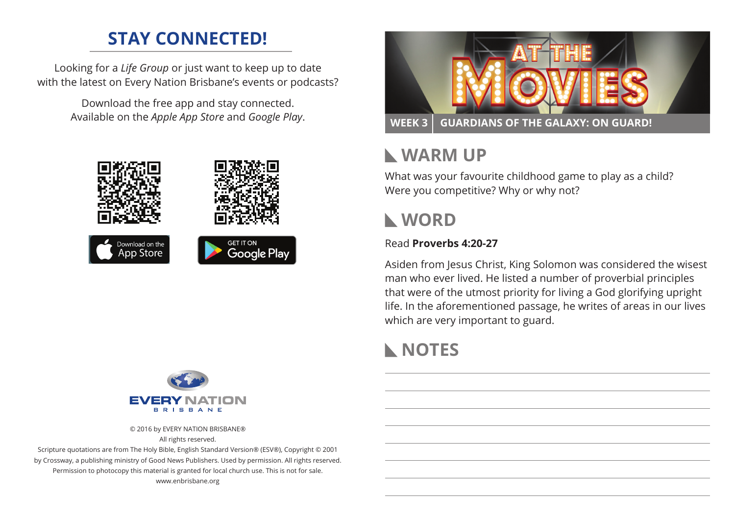## **STAY CONNECTED!**

Looking for a *Life Group* or just want to keep up to date with the latest on Every Nation Brisbane's events or podcasts?

> Download the free app and stay connected. Available on the *Apple App Store* and *Google Play*.





© 2016 by EVERY NATION BRISBANE® All rights reserved.

Scripture quotations are from The Holy Bible, English Standard Version® (ESV®), Copyright © 2001 by Crossway, a publishing ministry of Good News Publishers. Used by permission. All rights reserved. Permission to photocopy this material is granted for local church use. This is not for sale. www.enbrisbane.org



# **Warm Up**

What was your favourite childhood game to play as a child? Were you competitive? Why or why not?

# **WORD**

#### Read **Proverbs 4:20-27**

Asiden from Jesus Christ, King Solomon was considered the wisest man who ever lived. He listed a number of proverbial principles that were of the utmost priority for living a God glorifying upright life. In the aforementioned passage, he writes of areas in our lives which are very important to guard.

# **NOTES**